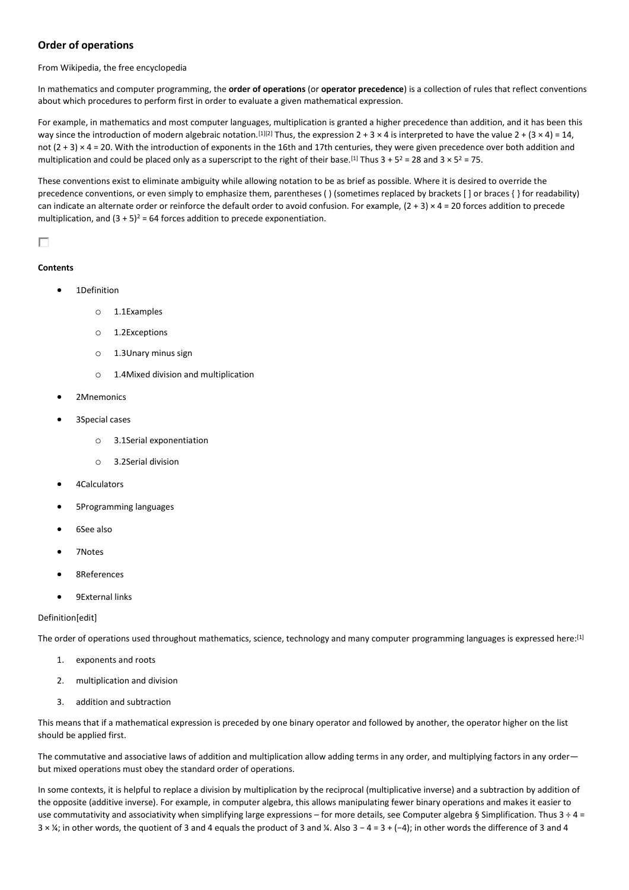# **Order of operations**

From Wikipedia, the free encyclopedia

In mathematics and computer programming, the **order of operations** (or **operator precedence**) is a collection of rules that reflect conventions about which procedures to perform first in order to evaluate a given mathematical expression.

For example, in mathematics and most computer languages, multiplication is granted a higher precedence than addition, and it has been this way since the introduction of modern algebraic notation.<sup>[1][2]</sup> Thus, the expression  $2 + 3 \times 4$  is interpreted to have the value  $2 + (3 \times 4) = 14$ , not (2 + 3) × 4 = 20. With the introduction of exponents in the 16th and 17th centuries, they were given precedence over both addition and multiplication and could be placed only as a superscript to the right of their base.<sup>[1]</sup> Thus  $3 + 5^2 = 28$  and  $3 \times 5^2 = 75$ .

These conventions exist to eliminate ambiguity while allowing notation to be as brief as possible. Where it is desired to override the precedence conventions, or even simply to emphasize them, parentheses ( ) (sometimes replaced by brackets [ ] or braces { } for readability) can indicate an alternate order or reinforce the default order to avoid confusion. For example,  $(2 + 3) \times 4 = 20$  forces addition to precede multiplication, and  $(3 + 5)^2 = 64$  forces addition to precede exponentiation.

# П

# **Contents**

- 1Definition
	- o 1.1Examples
	- o 1.2Exceptions
	- o 1.3Unary minus sign
	- o 1.4Mixed division and multiplication
- 2Mnemonics
- 3Special cases
	- o 3.1Serial exponentiation
	- o 3.2Serial division
- 4Calculators
- 5Programming languages
- 6See also
- 7Notes
- 8References
- 9External links

# Definition[edit]

The order of operations used throughout mathematics, science, technology and many computer programming languages is expressed here:[1]

- 1. exponents and roots
- 2. multiplication and division
- 3. addition and subtraction

This means that if a mathematical expression is preceded by one binary operator and followed by another, the operator higher on the list should be applied first.

The commutative and associative laws of addition and multiplication allow adding terms in any order, and multiplying factors in any order but mixed operations must obey the standard order of operations.

In some contexts, it is helpful to replace a division by multiplication by the reciprocal (multiplicative inverse) and a subtraction by addition of the opposite (additive inverse). For example, in computer algebra, this allows manipulating fewer binary operations and makes it easier to use commutativity and associativity when simplifying large expressions – for more details, see Computer algebra § Simplification. Thus  $3 \div 4 =$ 3 × ¼; in other words, the quotient of 3 and 4 equals the product of 3 and ¼. Also 3 − 4 = 3 + (−4); in other words the difference of 3 and 4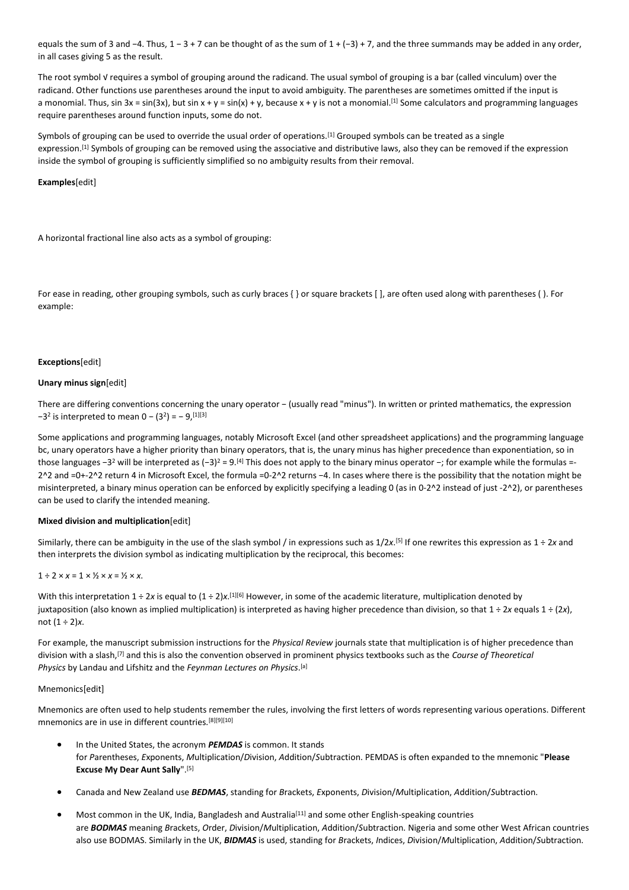equals the sum of 3 and −4. Thus, 1 – 3 + 7 can be thought of as the sum of 1 + (−3) + 7, and the three summands may be added in any order, in all cases giving 5 as the result.

The root symbol V requires a symbol of grouping around the radicand. The usual symbol of grouping is a bar (called vinculum) over the radicand. Other functions use parentheses around the input to avoid ambiguity. The parentheses are sometimes omitted if the input is a monomial. Thus, sin 3x = sin(3x), but sin x + y = sin(x) + y, because x + y is not a monomial.<sup>[1]</sup> Some calculators and programming languages require parentheses around function inputs, some do not.

Symbols of grouping can be used to override the usual order of operations.<sup>[1]</sup> Grouped symbols can be treated as a single expression.<sup>[1]</sup> Symbols of grouping can be removed using the associative and distributive laws, also they can be removed if the expression inside the symbol of grouping is sufficiently simplified so no ambiguity results from their removal.

## **Examples**[edit]

A horizontal fractional line also acts as a symbol of grouping:

For ease in reading, other grouping symbols, such as curly braces { } or square brackets [ ], are often used along with parentheses ( ). For example:

### **Exceptions**[edit]

## **Unary minus sign**[edit]

There are differing conventions concerning the unary operator − (usually read "minus"). In written or printed mathematics, the expression  $-3<sup>2</sup>$  is interpreted to mean 0 –  $(3<sup>2</sup>) = -9,$ <sup>[1][3]</sup>

Some applications and programming languages, notably Microsoft Excel (and other spreadsheet applications) and the programming language bc, unary operators have a higher priority than binary operators, that is, the unary minus has higher precedence than exponentiation, so in those languages −3<sup>2</sup> will be interpreted as (−3)<sup>2</sup> = 9.<sup>[4]</sup> This does not apply to the binary minus operator −; for example while the formulas =-2^2 and =0+-2^2 return 4 in Microsoft Excel, the formula =0-2^2 returns −4. In cases where there is the possibility that the notation might be misinterpreted, a binary minus operation can be enforced by explicitly specifying a leading 0 (as in 0-2^2 instead of just -2^2), or parentheses can be used to clarify the intended meaning.

### **Mixed division and multiplication**[edit]

Similarly, there can be ambiguity in the use of the slash symbol / in expressions such as 1/2*x*. [5] If one rewrites this expression as 1 ÷ 2*x* and then interprets the division symbol as indicating multiplication by the reciprocal, this becomes:

## $1 \div 2 \times x = 1 \times 1/2 \times x = 1/2 \times x$ .

With this interpretation 1 ÷ 2x is equal to (1 ÷ 2)x.<sup>[1][6]</sup> However, in some of the academic literature, multiplication denoted by juxtaposition (also known as implied multiplication) is interpreted as having higher precedence than division, so that 1 ÷ 2*x* equals 1 ÷ (2*x*), not (1 ÷ 2)*x*.

For example, the manuscript submission instructions for the *Physical Review* journals state that multiplication is of higher precedence than division with a slash,[7] and this is also the convention observed in prominent physics textbooks such as the *Course of Theoretical Physics* by Landau and Lifshitz and the *Feynman Lectures on Physics*. [a]

## Mnemonics[edit]

Mnemonics are often used to help students remember the rules, involving the first letters of words representing various operations. Different mnemonics are in use in different countries.[8][9][10]

- In the United States, the acronym *PEMDAS* is common. It stands for *P*arentheses, *E*xponents, *M*ultiplication/*D*ivision, *A*ddition/*S*ubtraction. PEMDAS is often expanded to the mnemonic "**Please Excuse My Dear Aunt Sally**".[5]
- Canada and New Zealand use *BEDMAS*, standing for *B*rackets, *E*xponents, *D*ivision/*M*ultiplication, *A*ddition/*S*ubtraction.
- Most common in the UK, India, Bangladesh and Australia[11] and some other English-speaking countries are *BODMAS* meaning *B*rackets, *O*rder, *D*ivision/*M*ultiplication, *A*ddition/*S*ubtraction. Nigeria and some other West African countries also use BODMAS. Similarly in the UK, *BIDMAS* is used, standing for *B*rackets, *I*ndices, *D*ivision/*M*ultiplication, *A*ddition/*S*ubtraction.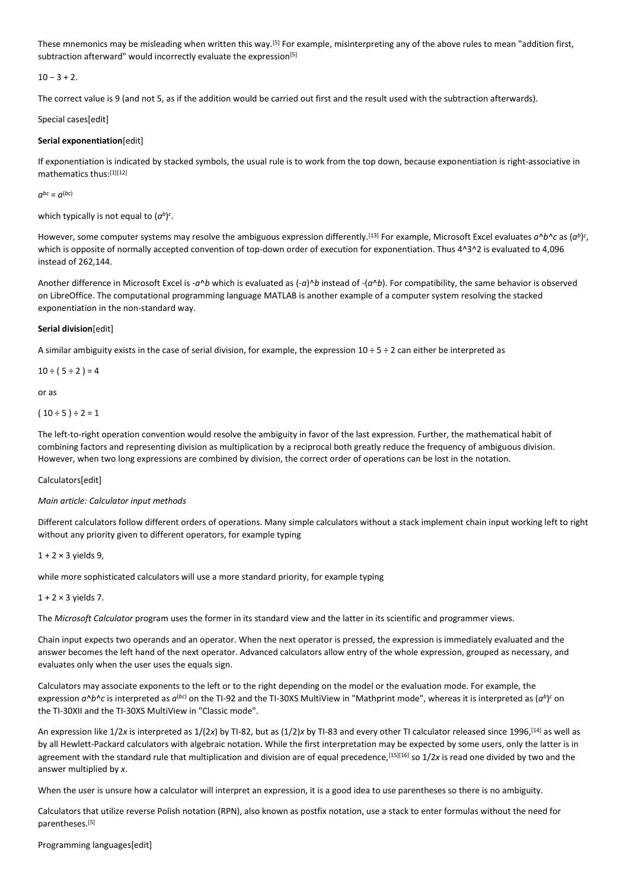These mnemonics may be misleading when written this way.<sup>[5]</sup> For example, misinterpreting any of the above rules to mean "addition first, subtraction afterward" would incorrectly evaluate the expression<sup>[5]</sup>

 $10 - 3 + 2$ .

The correct value is 9 (and not 5, as if the addition would be carried out first and the result used with the subtraction afterwards).

Special cases[edit]

## **Serial exponentiation**[edit]

If exponentiation is indicated by stacked symbols, the usual rule is to work from the top down, because exponentiation is right-associative in mathematics thus:[1][12]

 $a^{bc} = a^{(bc)}$ 

which typically is not equal to  $(a^b)^c$ .

However, some computer systems may resolve the ambiguous expression differently.<sup>[13]</sup> For example, Microsoft Excel evaluates  $a^b$ *b*  $\circ$  as ( $a^b$ ) $\circ$ , which is opposite of normally accepted convention of top-down order of execution for exponentiation. Thus 4^3^2 is evaluated to 4,096 instead of 262,144.

Another difference in Microsoft Excel is -*a*^*b* which is evaluated as (-*a*)^*b* instead of -(*a*^*b*). For compatibility, the same behavior is observed on LibreOffice. The computational programming language MATLAB is another example of a computer system resolving the stacked exponentiation in the non-standard way.

## **Serial division**[edit]

A similar ambiguity exists in the case of serial division, for example, the expression  $10 \div 5 \div 2$  can either be interpreted as

 $10 \div (5 \div 2) = 4$ 

or as

```
(10 \div 5) \div 2 = 1
```
The left-to-right operation convention would resolve the ambiguity in favor of the last expression. Further, the mathematical habit of combining factors and representing division as multiplication by a reciprocal both greatly reduce the frequency of ambiguous division. However, when two long expressions are combined by division, the correct order of operations can be lost in the notation.

### Calculators[edit]

### *Main article: Calculator input methods*

Different calculators follow different orders of operations. Many simple calculators without a stack implement chain input working left to right without any priority given to different operators, for example typing

### $1 + 2 \times 3$  vields 9.

while more sophisticated calculators will use a more standard priority, for example typing

 $1 + 2 \times 3$  yields 7.

The *Microsoft Calculator* program uses the former in its standard view and the latter in its scientific and programmer views.

Chain input expects two operands and an operator. When the next operator is pressed, the expression is immediately evaluated and the answer becomes the left hand of the next operator. Advanced calculators allow entry of the whole expression, grouped as necessary, and evaluates only when the user uses the equals sign.

Calculators may associate exponents to the left or to the right depending on the model or the evaluation mode. For example, the expression  $a \wedge b \wedge c$  is interpreted as  $a^{(bc)}$  on the TI-92 and the TI-30XS MultiView in "Mathprint mode", whereas it is interpreted as  $(a^b)^c$  on the TI-30XII and the TI-30XS MultiView in "Classic mode".

An expression like 1/2*x* is interpreted as 1/(2*x*) by TI-82, but as (1/2)*x* by TI-83 and every other TI calculator released since 1996,[14] as well as by all Hewlett-Packard calculators with algebraic notation. While the first interpretation may be expected by some users, only the latter is in agreement with the standard rule that multiplication and division are of equal precedence,<sup>[15][16]</sup> so 1/2*x* is read one divided by two and the answer multiplied by *x*.

When the user is unsure how a calculator will interpret an expression, it is a good idea to use parentheses so there is no ambiguity.

Calculators that utilize reverse Polish notation (RPN), also known as postfix notation, use a stack to enter formulas without the need for parentheses.[5]

Programming languages[edit]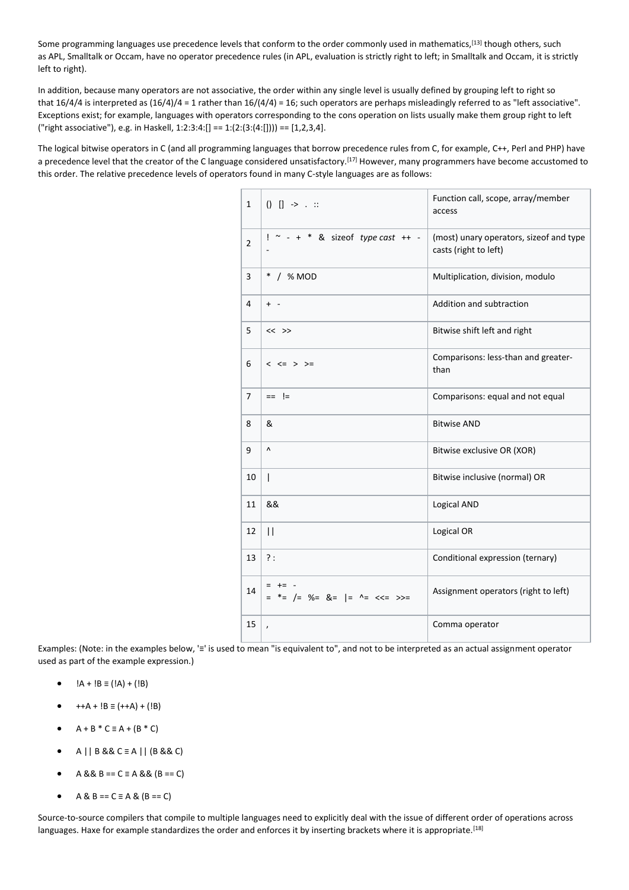Some programming languages use precedence levels that conform to the order commonly used in mathematics,<sup>[13]</sup> though others, such as APL, Smalltalk or Occam, have no operator precedence rules (in APL, evaluation is strictly right to left; in Smalltalk and Occam, it is strictly left to right).

In addition, because many operators are not associative, the order within any single level is usually defined by grouping left to right so that 16/4/4 is interpreted as (16/4)/4 = 1 rather than 16/(4/4) = 16; such operators are perhaps misleadingly referred to as "left associative". Exceptions exist; for example, languages with operators corresponding to the cons operation on lists usually make them group right to left ("right associative"), e.g. in Haskell, 1:2:3:4:[] == 1:(2:(3:(4:[]))) == [1,2,3,4].

The logical bitwise operators in C (and all programming languages that borrow precedence rules from C, for example, C++, Perl and PHP) have a precedence level that the creator of the C language considered unsatisfactory.<sup>[17]</sup> However, many programmers have become accustomed to this order. The relative precedence levels of operators found in many C-style languages are as follows:

| 1              | $() [] \rightarrow . ::$                               | Function call, scope, array/member<br>access                     |
|----------------|--------------------------------------------------------|------------------------------------------------------------------|
| $\overline{2}$ | $! \sim - + * \&$ size of type cast ++ -               | (most) unary operators, sizeof and type<br>casts (right to left) |
| 3              | $\ast$<br>/ % MOD                                      | Multiplication, division, modulo                                 |
| 4              | $+ -$                                                  | Addition and subtraction                                         |
| 5              | $<<$ >>                                                | Bitwise shift left and right                                     |
| 6              | $<$ $<=$ $>$ $>=$                                      | Comparisons: less-than and greater-<br>than                      |
| $\overline{7}$ | == !=                                                  | Comparisons: equal and not equal                                 |
| 8              | &                                                      | <b>Bitwise AND</b>                                               |
| 9              | ٨                                                      | Bitwise exclusive OR (XOR)                                       |
| 10             | I                                                      | Bitwise inclusive (normal) OR                                    |
| 11             | &&                                                     | Logical AND                                                      |
| 12             | $\mathbf{I}$                                           | Logical OR                                                       |
| 13             | ?:                                                     | Conditional expression (ternary)                                 |
| 14             | $\equiv$<br>$+= -$<br>*= /= %= &= $\vert$ = ^= <<= >>= | Assignment operators (right to left)                             |
| 15             | $\pmb{\cdot}$                                          | Comma operator                                                   |

Examples: (Note: in the examples below, '≡' is used to mean "is equivalent to", and not to be interpreted as an actual assignment operator used as part of the example expression.)

- !A + !B ≡ (!A) + (!B)
- ++A + !B ≡ (++A) + (!B)
- $A + B * C \equiv A + (B * C)$
- A || B && C ≡ A || (B && C)
- $A & 8 & B == C \equiv A & 8 & (B == C)$
- $A & B == C = A & (B == C)$

Source-to-source compilers that compile to multiple languages need to explicitly deal with the issue of different order of operations across languages. Haxe for example standardizes the order and enforces it by inserting brackets where it is appropriate.<sup>[18]</sup>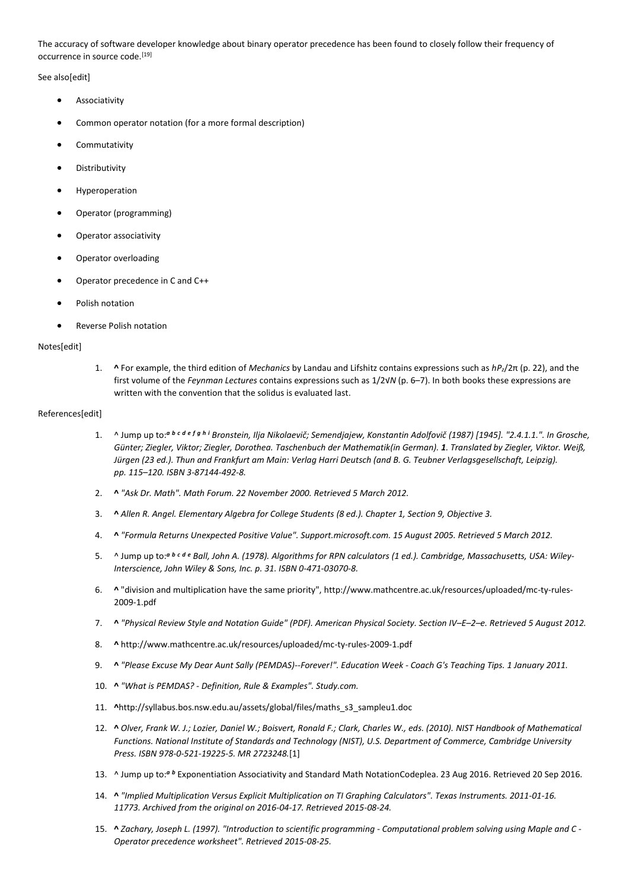The accuracy of software developer knowledge about binary operator precedence has been found to closely follow their frequency of occurrence in source code.<sup>[19]</sup>

See also[edit]

- **Associativity**
- Common operator notation (for a more formal description)
- **Commutativity**
- **Distributivity**
- **Hyperoperation**
- Operator (programming)
- Operator associativity
- Operator overloading
- Operator precedence in C and C++
- Polish notation
- Reverse Polish notation

# Notes[edit]

1. **^** For example, the third edition of *Mechanics* by Landau and Lifshitz contains expressions such as *hPz*/2π (p. 22), and the first volume of the *Feynman Lectures* contains expressions such as 1/2√*N* (p. 6–7). In both books these expressions are written with the convention that the solidus is evaluated last.

# References[edit]

- 1. ^ Jump up to:*<sup>a</sup> <sup>b</sup> <sup>c</sup> <sup>d</sup> <sup>e</sup> <sup>f</sup> <sup>g</sup> <sup>h</sup> <sup>i</sup> Bronstein, Ilja Nikolaevič; Semendjajew, Konstantin Adolfovič (1987) [1945]. "2.4.1.1.". In Grosche, Günter; Ziegler, Viktor; Ziegler, Dorothea. Taschenbuch der Mathematik(in German). 1. Translated by Ziegler, Viktor. Weiß, Jürgen (23 ed.). Thun and Frankfurt am Main: Verlag Harri Deutsch (and B. G. Teubner Verlagsgesellschaft, Leipzig). pp. 115–120. ISBN 3-87144-492-8.*
- 2. **^** *"Ask Dr. Math". Math Forum. 22 November 2000. Retrieved 5 March 2012.*
- 3. **^** *Allen R. Angel. Elementary Algebra for College Students (8 ed.). Chapter 1, Section 9, Objective 3.*
- 4. **^** *"Formula Returns Unexpected Positive Value". Support.microsoft.com. 15 August 2005. Retrieved 5 March 2012.*
- 5. ^ Jump up to:*<sup>a</sup> <sup>b</sup> <sup>c</sup> <sup>d</sup> <sup>e</sup> Ball, John A. (1978). Algorithms for RPN calculators (1 ed.). Cambridge, Massachusetts, USA: Wiley-Interscience, John Wiley & Sons, Inc. p. 31. ISBN 0-471-03070-8.*
- 6. **^** "division and multiplication have the same priority", http://www.mathcentre.ac.uk/resources/uploaded/mc-ty-rules-2009-1.pdf
- 7. **^** *"Physical Review Style and Notation Guide" (PDF). American Physical Society. Section IV–E–2–e. Retrieved 5 August 2012.*
- 8. **^** http://www.mathcentre.ac.uk/resources/uploaded/mc-ty-rules-2009-1.pdf
- 9. **^** *"Please Excuse My Dear Aunt Sally (PEMDAS)--Forever!". Education Week - Coach G's Teaching Tips. 1 January 2011.*
- 10. **^** *"What is PEMDAS? - Definition, Rule & Examples". Study.com.*
- 11. **^**http://syllabus.bos.nsw.edu.au/assets/global/files/maths\_s3\_sampleu1.doc
- 12. **^** *Olver, Frank W. J.; Lozier, Daniel W.; Boisvert, Ronald F.; Clark, Charles W., eds. (2010). NIST Handbook of Mathematical Functions. National Institute of Standards and Technology (NIST), U.S. Department of Commerce, Cambridge University Press. ISBN 978-0-521-19225-5. MR 2723248.*[1]
- 13. ^ Jump up to:*<sup>a</sup> <sup>b</sup>* Exponentiation Associativity and Standard Math NotationCodeplea. 23 Aug 2016. Retrieved 20 Sep 2016.
- 14. **^** *"Implied Multiplication Versus Explicit Multiplication on TI Graphing Calculators". Texas Instruments. 2011-01-16. 11773. Archived from the original on 2016-04-17. Retrieved 2015-08-24.*
- 15. **^** *Zachary, Joseph L. (1997). "Introduction to scientific programming - Computational problem solving using Maple and C - Operator precedence worksheet". Retrieved 2015-08-25.*